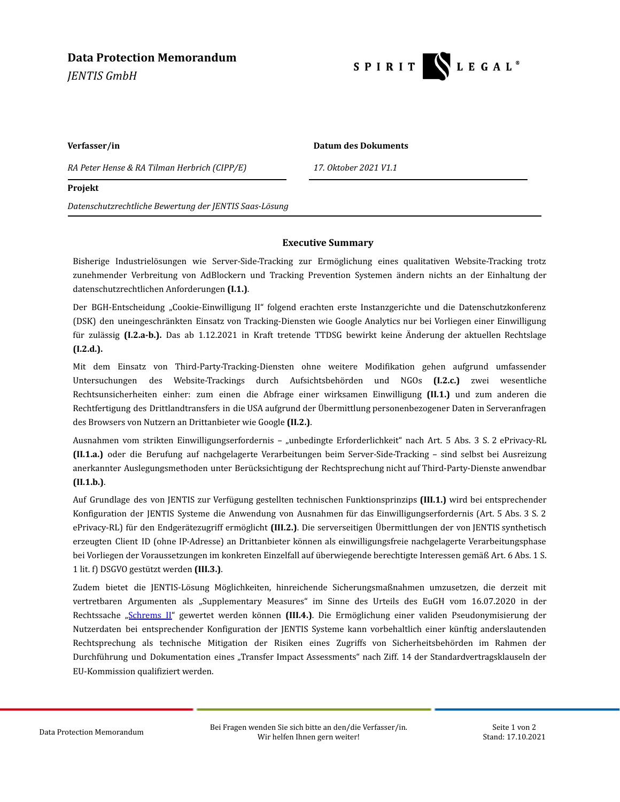# **Data Protection Memorandum**

*JENTIS GmbH*



**Verfasser/in Datum des Dokuments**

*RA Peter Hense & RA Tilman Herbrich (CIPP/E) 17. Oktober 2021 V1.1*

### **Projekt**

*Datenschutzrechtliche Bewertung der JENTIS Saas-Lösung*

## **Executive Summary**

Bisherige Industrielösungen wie Server-Side-Tracking zur Ermöglichung eines qualitativen Website-Tracking trotz zunehmender Verbreitung von AdBlockern und Tracking Prevention Systemen ändern nichts an der Einhaltung der datenschutzrechtlichen Anforderungen **(I.1.)**.

Der BGH-Entscheidung "Cookie-Einwilligung II" folgend erachten erste Instanzgerichte und die Datenschutzkonferenz (DSK) den uneingeschränkten Einsatz von Tracking-Diensten wie Google Analytics nur bei Vorliegen einer Einwilligung für zulässig **(I.2.a-b.).** Das ab 1.12.2021 in Kraft tretende TTDSG bewirkt keine Änderung der aktuellen Rechtslage **(I.2.d.).**

Mit dem Einsatz von Third-Party-Tracking-Diensten ohne weitere Modifikation gehen aufgrund umfassender Untersuchungen des Website-Trackings durch Aufsichtsbehörden und NGOs **(I.2.c.)** zwei wesentliche Rechtsunsicherheiten einher: zum einen die Abfrage einer wirksamen Einwilligung **(II.1.)** und zum anderen die Rechtfertigung des Drittlandtransfers in die USA aufgrund der Übermittlung personenbezogener Daten in Serveranfragen des Browsers von Nutzern an Drittanbieter wie Google **(II.2.)**.

Ausnahmen vom strikten Einwilligungserfordernis – "unbedingte Erforderlichkeit" nach Art. 5 Abs. 3 S. 2 ePrivacy-RL **(II.1.a.)** oder die Berufung auf nachgelagerte Verarbeitungen beim Server-Side-Tracking – sind selbst bei Ausreizung anerkannter Auslegungsmethoden unter Berücksichtigung der Rechtsprechung nicht auf Third-Party-Dienste anwendbar **(II.1.b.)**.

Auf Grundlage des von JENTIS zur Verfügung gestellten technischen Funktionsprinzips **(III.1.)** wird bei entsprechender Konfiguration der JENTIS Systeme die Anwendung von Ausnahmen für das Einwilligungserfordernis (Art. 5 Abs. 3 S. 2 ePrivacy-RL) für den Endgerätezugriff ermöglicht **(III.2.)**. Die serverseitigen Übermittlungen der von JENTIS synthetisch erzeugten Client ID (ohne IP-Adresse) an Drittanbieter können als einwilligungsfreie nachgelagerte Verarbeitungsphase bei Vorliegen der Voraussetzungen im konkreten Einzelfall auf überwiegende berechtigte Interessen gemäß Art. 6 Abs. 1 S. 1 lit. f) DSGVO gestützt werden **(III.3.)**.

Zudem bietet die JENTIS-Lösung Möglichkeiten, hinreichende Sicherungsmaßnahmen umzusetzen, die derzeit mit vertretbaren Argumenten als "Supplementary Measures" im Sinne des Urteils des EuGH vom 16.07.2020 in der Rechtssache "[Schrems](https://curia.europa.eu/jcms/upload/docs/application/pdf/2020-07/cp200091en.pdf) II" gewertet werden können **(III.4.)**. Die Ermöglichung einer validen Pseudonymisierung der Nutzerdaten bei entsprechender Konfiguration der JENTIS Systeme kann vorbehaltlich einer künftig anderslautenden Rechtsprechung als technische Mitigation der Risiken eines Zugriffs von Sicherheitsbehörden im Rahmen der Durchführung und Dokumentation eines "Transfer Impact Assessments" nach Ziff. 14 der Standardvertragsklauseln der EU-Kommission qualifiziert werden.